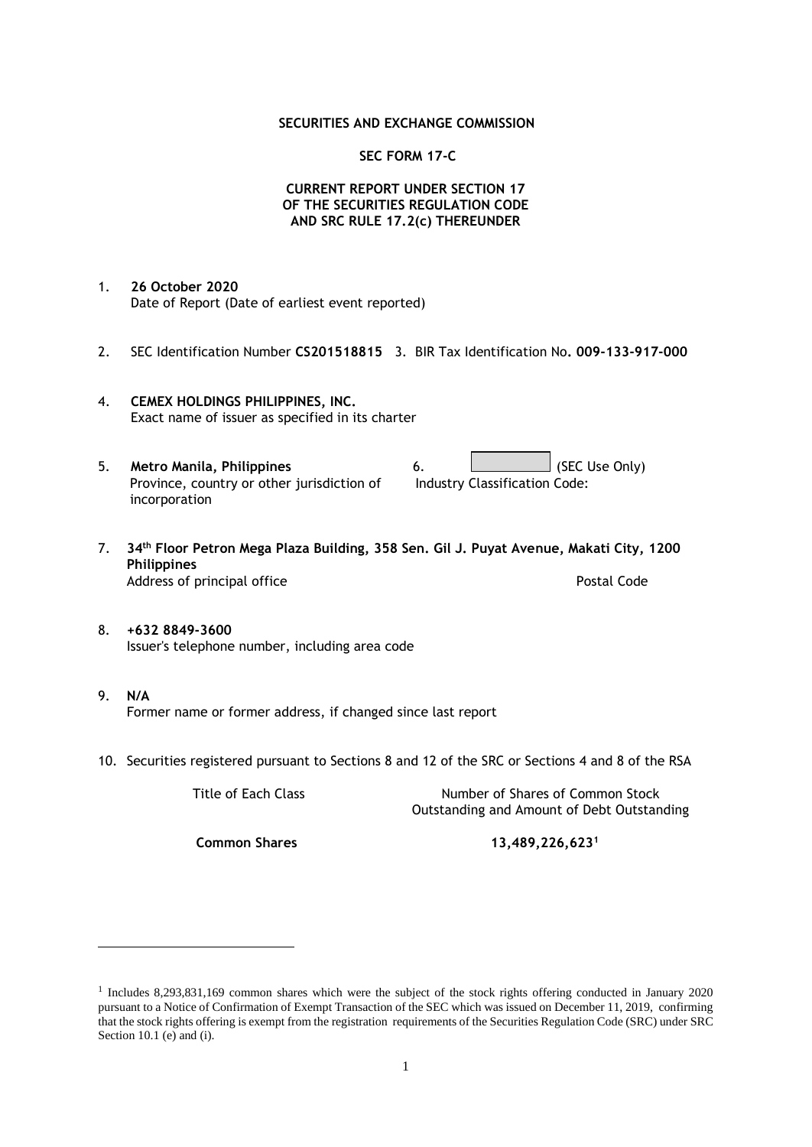## **SECURITIES AND EXCHANGE COMMISSION**

## **SEC FORM 17-C**

## **CURRENT REPORT UNDER SECTION 17 OF THE SECURITIES REGULATION CODE AND SRC RULE 17.2(c) THEREUNDER**

- 1. **26 October 2020** Date of Report (Date of earliest event reported)
- 2. SEC Identification Number **CS201518815** 3. BIR Tax Identification No**. 009-133-917-000**
- 4. **CEMEX HOLDINGS PHILIPPINES, INC.** Exact name of issuer as specified in its charter
- 5. **Metro Manila, Philippines** 6. **Consumers 6.** (SEC Use Only) Province, country or other jurisdiction of incorporation Industry Classification Code:
- 7. **34th Floor Petron Mega Plaza Building, 358 Sen. Gil J. Puyat Avenue, Makati City, 1200 Philippines** Address of principal office **Postal Code** Postal Code
- 8. **+632 8849-3600** Issuer's telephone number, including area code
- 9. **N/A** Former name or former address, if changed since last report
- 10. Securities registered pursuant to Sections 8 and 12 of the SRC or Sections 4 and 8 of the RSA

Title of Each Class Number of Shares of Common Stock Outstanding and Amount of Debt Outstanding

**Common Shares 13,489,226,623<sup>1</sup>**

<sup>1</sup> Includes 8,293,831,169 common shares which were the subject of the stock rights offering conducted in January 2020 pursuant to a Notice of Confirmation of Exempt Transaction of the SEC which was issued on December 11, 2019, confirming that the stock rights offering is exempt from the registration requirements of the Securities Regulation Code (SRC) under SRC Section 10.1 (e) and (i).